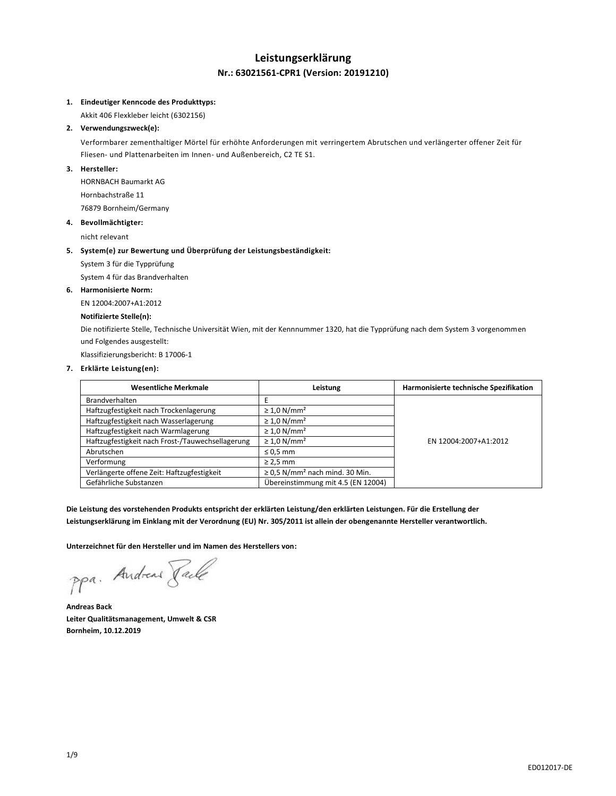## **Leistungserklärung Nr.: 63021561-CPR1 (Version: 20191210)**

## **1. Eindeutiger Kenncode des Produkttyps:**

Akkit 406 Flexkleber leicht (6302156)

## **2. Verwendungszweck(e):**

Verformbarer zementhaltiger Mörtel für erhöhte Anforderungen mit verringertem Abrutschen und verlängerter offener Zeit für Fliesen- und Plattenarbeiten im Innen- und Außenbereich, C2 TE S1.

## **3. Hersteller:**

HORNBACH Baumarkt AG Hornbachstraße 11 76879 Bornheim/Germany

#### **4. Bevollmächtigter:**

nicht relevant

#### **5. System(e) zur Bewertung und Überprüfung der Leistungsbeständigkeit:**

System 3 für die Typprüfung

System 4 für das Brandverhalten

#### **6. Harmonisierte Norm:**

EN 12004:2007+A1:2012

## **Notifizierte Stelle(n):**

Die notifizierte Stelle, Technische Universität Wien, mit der Kennnummer 1320, hat die Typprüfung nach dem System 3 vorgenommen und Folgendes ausgestellt:

Klassifizierungsbericht: B 17006-1

## **7. Erklärte Leistung(en):**

| <b>Wesentliche Merkmale</b>                      | Leistung                                        | Harmonisierte technische Spezifikation |
|--------------------------------------------------|-------------------------------------------------|----------------------------------------|
| <b>Brandverhalten</b>                            |                                                 |                                        |
| Haftzugfestigkeit nach Trockenlagerung           | $\geq 1.0$ N/mm <sup>2</sup>                    |                                        |
| Haftzugfestigkeit nach Wasserlagerung            | $\geq 1.0$ N/mm <sup>2</sup>                    |                                        |
| Haftzugfestigkeit nach Warmlagerung              | $\geq 1.0$ N/mm <sup>2</sup>                    |                                        |
| Haftzugfestigkeit nach Frost-/Tauwechsellagerung | $\geq 1.0$ N/mm <sup>2</sup>                    | EN 12004:2007+A1:2012                  |
| Abrutschen                                       | $\leq 0.5$ mm                                   |                                        |
| Verformung                                       | $\geq$ 2,5 mm                                   |                                        |
| Verlängerte offene Zeit: Haftzugfestigkeit       | $\geq$ 0,5 N/mm <sup>2</sup> nach mind. 30 Min. |                                        |
| Gefährliche Substanzen                           | Übereinstimmung mit 4.5 (EN 12004)              |                                        |

**Die Leistung des vorstehenden Produkts entspricht der erklärten Leistung/den erklärten Leistungen. Für die Erstellung der Leistungserklärung im Einklang mit der Verordnung (EU) Nr. 305/2011 ist allein der obengenannte Hersteller verantwortlich.**

**Unterzeichnet für den Hersteller und im Namen des Herstellers von:**

ppa. Andreas Pale

**Andreas Back Leiter Qualitätsmanagement, Umwelt & CSR Bornheim, 10.12.2019**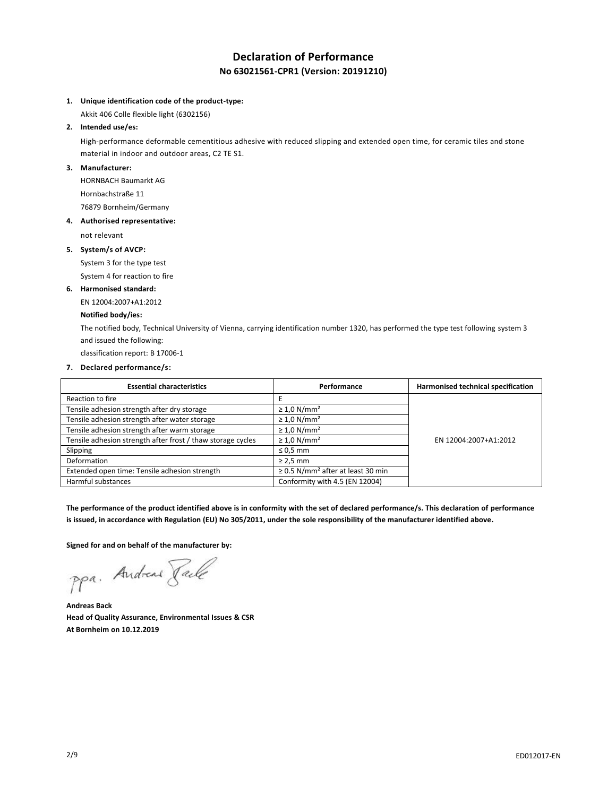## **Declaration of Performance No 63021561-CPR1 (Version: 20191210)**

#### **1. Unique identification code of the product-type:**

Akkit 406 Colle flexible light (6302156)

## **2. Intended use/es:**

High-performance deformable cementitious adhesive with reduced slipping and extended open time, for ceramic tiles and stone material in indoor and outdoor areas, C2 TE S1.

## **3. Manufacturer:**

HORNBACH Baumarkt AG Hornbachstraße 11 76879 Bornheim/Germany

## **4. Authorised representative:**

not relevant

## **5. System/s of AVCP:**

System 3 for the type test

System 4 for reaction to fire

## **6. Harmonised standard:**

EN 12004:2007+A1:2012

## **Notified body/ies:**

The notified body, Technical University of Vienna, carrying identification number 1320, has performed the type test following system 3 and issued the following:

classification report: B 17006-1

#### **7. Declared performance/s:**

| <b>Essential characteristics</b>                            | Performance                                        | Harmonised technical specification |
|-------------------------------------------------------------|----------------------------------------------------|------------------------------------|
| Reaction to fire                                            |                                                    |                                    |
| Tensile adhesion strength after dry storage                 | $\geq 1.0$ N/mm <sup>2</sup>                       |                                    |
| Tensile adhesion strength after water storage               | $\geq 1.0$ N/mm <sup>2</sup>                       |                                    |
| Tensile adhesion strength after warm storage                | $\geq 1.0$ N/mm <sup>2</sup>                       |                                    |
| Tensile adhesion strength after frost / thaw storage cycles | $\geq 1.0$ N/mm <sup>2</sup>                       | EN 12004:2007+A1:2012              |
| Slipping                                                    | $\leq 0.5$ mm                                      |                                    |
| Deformation                                                 | $\geq$ 2,5 mm                                      |                                    |
| Extended open time: Tensile adhesion strength               | $\geq$ 0.5 N/mm <sup>2</sup> after at least 30 min |                                    |
| Harmful substances                                          | Conformity with 4.5 (EN 12004)                     |                                    |

**The performance of the product identified above is in conformity with the set of declared performance/s. This declaration of performance is issued, in accordance with Regulation (EU) No 305/2011, under the sole responsibility of the manufacturer identified above.**

**Signed for and on behalf of the manufacturer by:**

ppa. Andreas Face

**Andreas Back Head of Quality Assurance, Environmental Issues & CSR At Bornheim on 10.12.2019**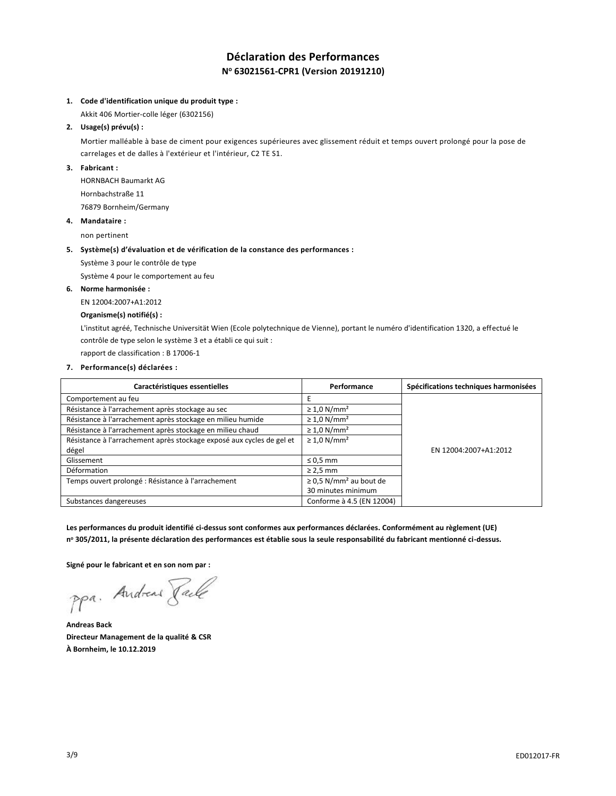## **Déclaration des Performances N <sup>o</sup> 63021561-CPR1 (Version 20191210)**

## **1. Code d'identification unique du produit type :**

Akkit 406 Mortier-colle léger (6302156)

## **2. Usage(s) prévu(s) :**

Mortier malléable à base de ciment pour exigences supérieures avec glissement réduit et temps ouvert prolongé pour la pose de carrelages et de dalles à l'extérieur et l'intérieur, C2 TE S1.

## **3. Fabricant :**

HORNBACH Baumarkt AG Hornbachstraße 11 76879 Bornheim/Germany

## **4. Mandataire :**

non pertinent

#### **5. Système(s) d'évaluation et de vérification de la constance des performances :**

Système 3 pour le contrôle de type

Système 4 pour le comportement au feu

#### **6. Norme harmonisée :**

EN 12004:2007+A1:2012

#### **Organisme(s) notifié(s) :**

L'institut agréé, Technische Universität Wien (Ecole polytechnique de Vienne), portant le numéro d'identification 1320, a effectué le contrôle de type selon le système 3 et a établi ce qui suit :

rapport de classification : B 17006-1

## **7. Performance(s) déclarées :**

| Caractéristiques essentielles                                         | Performance                             | Spécifications techniques harmonisées |
|-----------------------------------------------------------------------|-----------------------------------------|---------------------------------------|
| Comportement au feu                                                   | Ε                                       |                                       |
| Résistance à l'arrachement après stockage au sec                      | $\geq 1.0$ N/mm <sup>2</sup>            |                                       |
| Résistance à l'arrachement après stockage en milieu humide            | $\geq 1.0$ N/mm <sup>2</sup>            |                                       |
| Résistance à l'arrachement après stockage en milieu chaud             | $\geq 1.0$ N/mm <sup>2</sup>            |                                       |
| Résistance à l'arrachement après stockage exposé aux cycles de gel et | $\geq 1.0$ N/mm <sup>2</sup>            |                                       |
| dégel                                                                 |                                         | EN 12004:2007+A1:2012                 |
| Glissement                                                            | $\leq 0.5$ mm                           |                                       |
| Déformation                                                           | $\geq$ 2,5 mm                           |                                       |
| Temps ouvert prolongé : Résistance à l'arrachement                    | $\geq$ 0,5 N/mm <sup>2</sup> au bout de |                                       |
|                                                                       | 30 minutes minimum                      |                                       |
| Substances dangereuses                                                | Conforme à 4.5 (EN 12004)               |                                       |

**Les performances du produit identifié ci-dessus sont conformes aux performances déclarées. Conformément au règlement (UE) n <sup>o</sup> 305/2011, la présente déclaration des performances est établie sous la seule responsabilité du fabricant mentionné ci-dessus.**

**Signé pour le fabricant et en son nom par :**

ppa. Andreas Pale

**Andreas Back Directeur Management de la qualité & CSR À Bornheim, le 10.12.2019**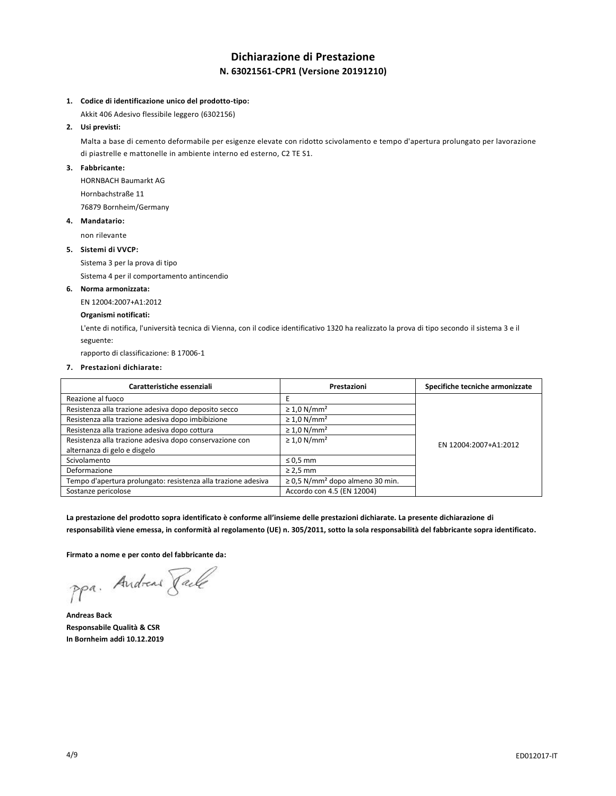# **Dichiarazione di Prestazione N. 63021561-CPR1 (Versione 20191210)**

#### **1. Codice di identificazione unico del prodotto-tipo:**

Akkit 406 Adesivo flessibile leggero (6302156)

## **2. Usi previsti:**

Malta a base di cemento deformabile per esigenze elevate con ridotto scivolamento e tempo d'apertura prolungato per lavorazione di piastrelle e mattonelle in ambiente interno ed esterno, C2 TE S1.

## **3. Fabbricante:**

HORNBACH Baumarkt AG Hornbachstraße 11 76879 Bornheim/Germany

## **4. Mandatario:**

non rilevante

## **5. Sistemi di VVCP:**

Sistema 3 per la prova di tipo

Sistema 4 per il comportamento antincendio

#### **6. Norma armonizzata:**

EN 12004:2007+A1:2012

#### **Organismi notificati:**

L'ente di notifica, l'università tecnica di Vienna, con il codice identificativo 1320 ha realizzato la prova di tipo secondo il sistema 3 e il seguente:

rapporto di classificazione: B 17006-1

#### **7. Prestazioni dichiarate:**

| Caratteristiche essenziali                                    | Prestazioni                                      | Specifiche tecniche armonizzate |
|---------------------------------------------------------------|--------------------------------------------------|---------------------------------|
| Reazione al fuoco                                             |                                                  |                                 |
| Resistenza alla trazione adesiva dopo deposito secco          | $\geq 1.0$ N/mm <sup>2</sup>                     |                                 |
| Resistenza alla trazione adesiva dopo imbibizione             | $\geq 1.0$ N/mm <sup>2</sup>                     |                                 |
| Resistenza alla trazione adesiva dopo cottura                 | $\geq 1.0$ N/mm <sup>2</sup>                     |                                 |
| Resistenza alla trazione adesiva dopo conservazione con       | $\geq 1.0$ N/mm <sup>2</sup>                     | EN 12004:2007+A1:2012           |
| alternanza di gelo e disgelo                                  |                                                  |                                 |
| Scivolamento                                                  | $\leq 0.5$ mm                                    |                                 |
| Deformazione                                                  | $\geq$ 2.5 mm                                    |                                 |
| Tempo d'apertura prolungato: resistenza alla trazione adesiva | $\geq$ 0,5 N/mm <sup>2</sup> dopo almeno 30 min. |                                 |
| Sostanze pericolose                                           | Accordo con 4.5 (EN 12004)                       |                                 |

**La prestazione del prodotto sopra identificato è conforme all'insieme delle prestazioni dichiarate. La presente dichiarazione di responsabilità viene emessa, in conformità al regolamento (UE) n. 305/2011, sotto la sola responsabilità del fabbricante sopra identificato.**

**Firmato a nome e per conto del fabbricante da:**

ppa. Andreas Faile

**Andreas Back Responsabile Qualità & CSR In Bornheim addì 10.12.2019**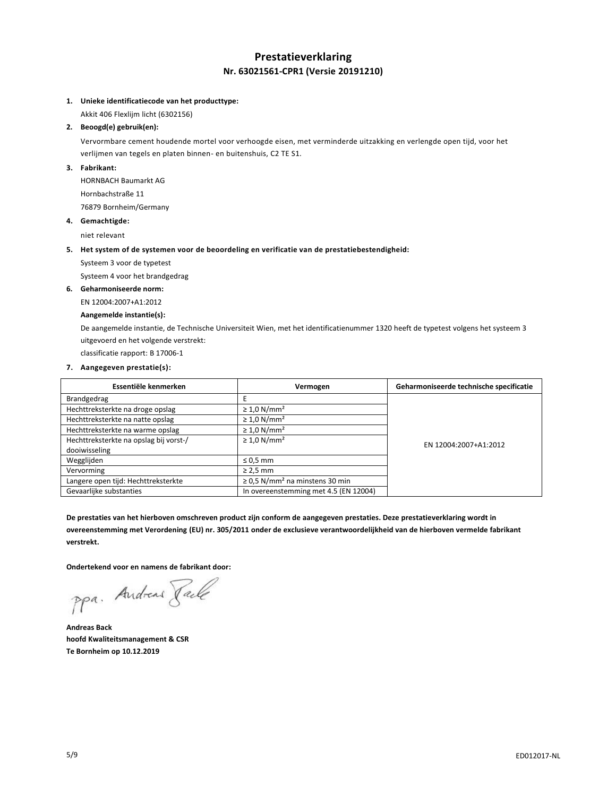## **Prestatieverklaring Nr. 63021561-CPR1 (Versie 20191210)**

#### **1. Unieke identificatiecode van het producttype:**

Akkit 406 Flexlijm licht (6302156)

#### **2. Beoogd(e) gebruik(en):**

Vervormbare cement houdende mortel voor verhoogde eisen, met verminderde uitzakking en verlengde open tijd, voor het verlijmen van tegels en platen binnen- en buitenshuis, C2 TE S1.

## **3. Fabrikant:**

HORNBACH Baumarkt AG Hornbachstraße 11 76879 Bornheim/Germany

## **4. Gemachtigde:**

niet relevant

### **5. Het system of de systemen voor de beoordeling en verificatie van de prestatiebestendigheid:**

Systeem 3 voor de typetest

Systeem 4 voor het brandgedrag

#### **6. Geharmoniseerde norm:**

EN 12004:2007+A1:2012

## **Aangemelde instantie(s):**

De aangemelde instantie, de Technische Universiteit Wien, met het identificatienummer 1320 heeft de typetest volgens het systeem 3 uitgevoerd en het volgende verstrekt:

classificatie rapport: B 17006-1

#### **7. Aangegeven prestatie(s):**

| Essentiële kenmerken                   | Vermogen                                        | Geharmoniseerde technische specificatie |
|----------------------------------------|-------------------------------------------------|-----------------------------------------|
| Brandgedrag                            | Е                                               |                                         |
| Hechttreksterkte na droge opslag       | $\geq 1.0$ N/mm <sup>2</sup>                    |                                         |
| Hechttreksterkte na natte opslag       | $\geq 1.0$ N/mm <sup>2</sup>                    |                                         |
| Hechttreksterkte na warme opslag       | $\geq 1.0$ N/mm <sup>2</sup>                    |                                         |
| Hechttreksterkte na opslag bij vorst-/ | $\geq 1.0$ N/mm <sup>2</sup>                    | EN 12004:2007+A1:2012                   |
| dooiwisseling                          |                                                 |                                         |
| Wegglijden                             | $\leq 0.5$ mm                                   |                                         |
| Vervorming                             | $\geq$ 2,5 mm                                   |                                         |
| Langere open tijd: Hechttreksterkte    | $\geq$ 0.5 N/mm <sup>2</sup> na minstens 30 min |                                         |
| Gevaarlijke substanties                | In overeenstemming met 4.5 (EN 12004)           |                                         |

**De prestaties van het hierboven omschreven product zijn conform de aangegeven prestaties. Deze prestatieverklaring wordt in overeenstemming met Verordening (EU) nr. 305/2011 onder de exclusieve verantwoordelijkheid van de hierboven vermelde fabrikant verstrekt.**

**Ondertekend voor en namens de fabrikant door:**

ppa. Andreas Pale

**Andreas Back hoofd Kwaliteitsmanagement & CSR Te Bornheim op 10.12.2019**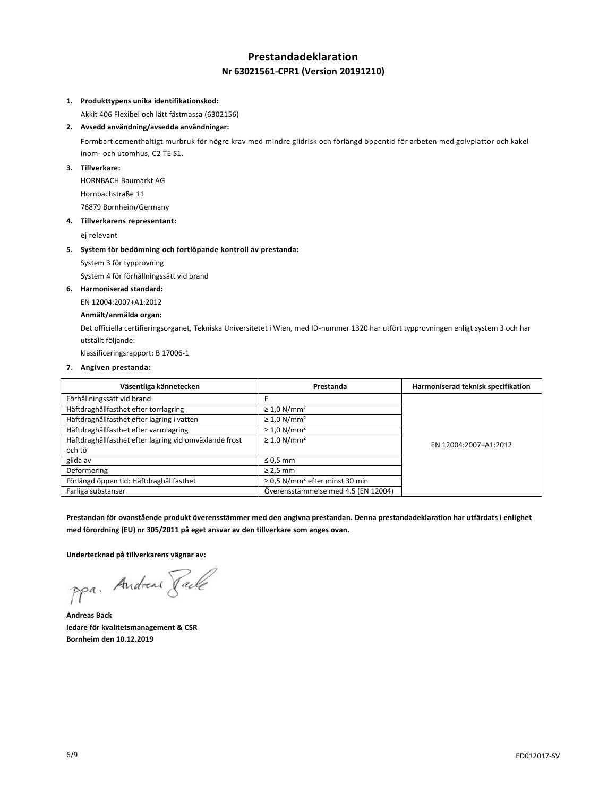## **Prestandadeklaration Nr 63021561-CPR1 (Version 20191210)**

#### **1. Produkttypens unika identifikationskod:**

Akkit 406 Flexibel och lätt fästmassa (6302156)

## **2. Avsedd användning/avsedda användningar:**

Formbart cementhaltigt murbruk för högre krav med mindre glidrisk och förlängd öppentid för arbeten med golvplattor och kakel inom- och utomhus, C2 TE S1.

## **3. Tillverkare:**

HORNBACH Baumarkt AG Hornbachstraße 11 76879 Bornheim/Germany

## **4. Tillverkarens representant:**

ej relevant

## **5. System för bedömning och fortlöpande kontroll av prestanda:**

System 3 för typprovning

System 4 för förhållningssätt vid brand

#### **6. Harmoniserad standard:**

EN 12004:2007+A1:2012

## **Anmält/anmälda organ:**

Det officiella certifieringsorganet, Tekniska Universitetet i Wien, med ID-nummer 1320 har utfört typprovningen enligt system 3 och har utställt följande:

klassificeringsrapport: B 17006-1

#### **7. Angiven prestanda:**

| Väsentliga kännetecken                                 | Prestanda                                       | Harmoniserad teknisk specifikation |
|--------------------------------------------------------|-------------------------------------------------|------------------------------------|
| Förhållningssätt vid brand                             |                                                 |                                    |
| Häftdraghållfasthet efter torrlagring                  | $\geq 1.0$ N/mm <sup>2</sup>                    |                                    |
| Häftdraghållfasthet efter lagring i vatten             | $\geq 1.0$ N/mm <sup>2</sup>                    |                                    |
| Häftdraghållfasthet efter varmlagring                  | $\geq 1.0$ N/mm <sup>2</sup>                    |                                    |
| Häftdraghållfasthet efter lagring vid omväxlande frost | $\geq 1.0$ N/mm <sup>2</sup>                    | EN 12004:2007+A1:2012              |
| och tö                                                 |                                                 |                                    |
| glida av                                               | $\leq 0.5$ mm                                   |                                    |
| Deformering                                            | $\geq$ 2,5 mm                                   |                                    |
| Förlängd öppen tid: Häftdraghållfasthet                | $\geq$ 0,5 N/mm <sup>2</sup> efter minst 30 min |                                    |
| Farliga substanser                                     | Överensstämmelse med 4.5 (EN 12004)             |                                    |

**Prestandan för ovanstående produkt överensstämmer med den angivna prestandan. Denna prestandadeklaration har utfärdats i enlighet med förordning (EU) nr 305/2011 på eget ansvar av den tillverkare som anges ovan.**

**Undertecknad på tillverkarens vägnar av:**

ppa. Andreas Faile

**Andreas Back ledare för kvalitetsmanagement & CSR Bornheim den 10.12.2019**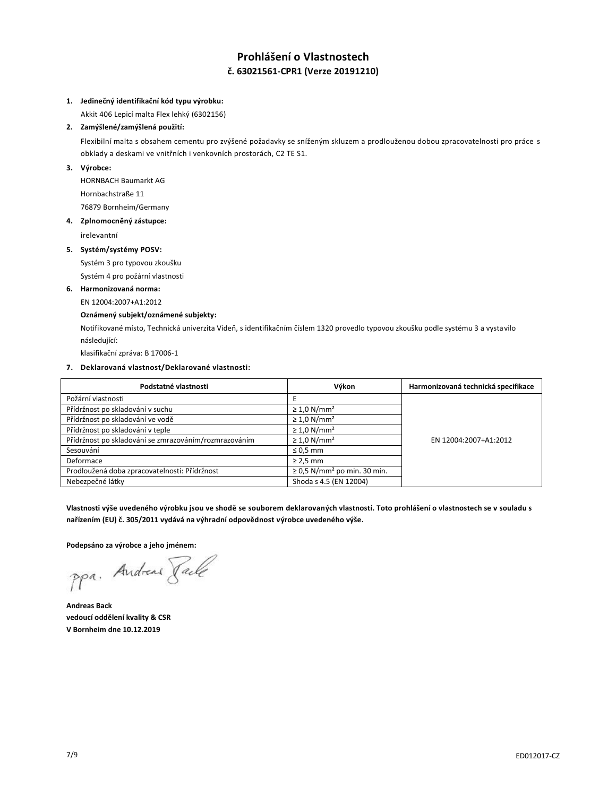## **Prohlášení o Vlastnostech č. 63021561-CPR1 (Verze 20191210)**

#### **1. Jedinečný identifikační kód typu výrobku:**

Akkit 406 Lepicí malta Flex lehký (6302156)

## **2. Zamýšlené/zamýšlená použití:**

Flexibilní malta s obsahem cementu pro zvýšené požadavky se sníženým skluzem a prodlouženou dobou zpracovatelnosti pro práce s obklady a deskami ve vnitřních i venkovních prostorách, C2 TE S1.

#### **3. Výrobce:**

HORNBACH Baumarkt AG Hornbachstraße 11 76879 Bornheim/Germany

## **4. Zplnomocněný zástupce:**

irelevantní

## **5. Systém/systémy POSV:**

Systém 3 pro typovou zkoušku

Systém 4 pro požární vlastnosti

## **6. Harmonizovaná norma:**

EN 12004:2007+A1:2012

#### **Oznámený subjekt/oznámené subjekty:**

Notifikované místo, Technická univerzita Vídeň, s identifikačním číslem 1320 provedlo typovou zkoušku podle systému 3 a vystavilo následující:

klasifikační zpráva: B 17006-1

## **7. Deklarovaná vlastnost/Deklarované vlastnosti:**

| Podstatné vlastnosti                                  | Výkon                                        | Harmonizovaná technická specifikace |
|-------------------------------------------------------|----------------------------------------------|-------------------------------------|
| Požární vlastnosti                                    | Ε                                            |                                     |
| Přídržnost po skladování v suchu                      | $\geq 1.0$ N/mm <sup>2</sup>                 |                                     |
| Přídržnost po skladování ve vodě                      | $\geq 1.0$ N/mm <sup>2</sup>                 |                                     |
| Přídržnost po skladování v teple                      | $\geq 1.0$ N/mm <sup>2</sup>                 |                                     |
| Přídržnost po skladování se zmrazováním/rozmrazováním | $\geq 1.0$ N/mm <sup>2</sup>                 | EN 12004:2007+A1:2012               |
| Sesouvání                                             | $\leq$ 0.5 mm                                |                                     |
| Deformace                                             | $\geq$ 2,5 mm                                |                                     |
| Prodloužená doba zpracovatelnosti: Přídržnost         | $\geq$ 0,5 N/mm <sup>2</sup> po min. 30 min. |                                     |
| Nebezpečné látky                                      | Shoda s 4.5 (EN 12004)                       |                                     |

**Vlastnosti výše uvedeného výrobku jsou ve shodě se souborem deklarovaných vlastností. Toto prohlášení o vlastnostech se v souladu s nařízením (EU) č. 305/2011 vydává na výhradní odpovědnost výrobce uvedeného výše.**

**Podepsáno za výrobce a jeho jménem:**

ppa. Andreas Face

**Andreas Back vedoucí oddělení kvality & CSR V Bornheim dne 10.12.2019**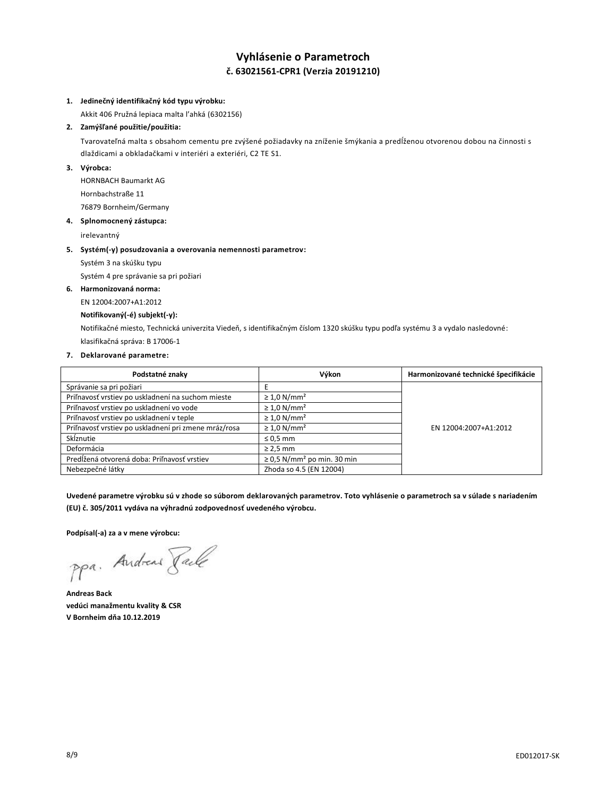# **Vyhlásenie o Parametroch č. 63021561-CPR1 (Verzia 20191210)**

#### **1. Jedinečný identifikačný kód typu výrobku:**

Akkit 406 Pružná lepiaca malta l'ahká (6302156)

## **2. Zamýšľané použitie/použitia:**

Tvarovateľná malta s obsahom cementu pre zvýšené požiadavky na zníženie šmýkania a predĺženou otvorenou dobou na činnosti s dlaždicami a obkladačkami v interiéri a exteriéri, C2 TE S1.

#### **3. Výrobca:**

HORNBACH Baumarkt AG Hornbachstraße 11 76879 Bornheim/Germany

## **4. Splnomocnený zástupca:**

irelevantný

#### **5. Systém(-y) posudzovania a overovania nemennosti parametrov:**

Systém 3 na skúšku typu

Systém 4 pre správanie sa pri požiari

#### **6. Harmonizovaná norma:**

EN 12004:2007+A1:2012

## **Notifikovaný(-é) subjekt(-y):**

Notifikačné miesto, Technická univerzita Viedeň, s identifikačným číslom 1320 skúšku typu podľa systému 3 a vydalo nasledovné: klasifikačná správa: B 17006-1

#### **7. Deklarované parametre:**

| Podstatné znaky                                      | Výkon                                       | Harmonizované technické špecifikácie |
|------------------------------------------------------|---------------------------------------------|--------------------------------------|
| Správanie sa pri požiari                             |                                             |                                      |
| Priľnavosť vrstiev po uskladnení na suchom mieste    | $\geq 1.0$ N/mm <sup>2</sup>                |                                      |
| Priľnavosť vrstiev po uskladnení vo vode             | $\geq 1.0$ N/mm <sup>2</sup>                |                                      |
| Priľnavosť vrstiev po uskladnení v teple             | $\geq 1.0$ N/mm <sup>2</sup>                |                                      |
| Priľnavosť vrstiev po uskladnení pri zmene mráz/rosa | $\geq 1.0$ N/mm <sup>2</sup>                | EN 12004:2007+A1:2012                |
| Skĺznutie                                            | $\leq 0.5$ mm                               |                                      |
| Deformácia                                           | $\geq$ 2,5 mm                               |                                      |
| Predĺžená otvorená doba: Priľnavosť vrstiev          | $\geq$ 0,5 N/mm <sup>2</sup> po min. 30 min |                                      |
| Nebezpečné látky                                     | Zhoda so 4.5 (EN 12004)                     |                                      |

**Uvedené parametre výrobku sú v zhode so súborom deklarovaných parametrov. Toto vyhlásenie o parametroch sa v súlade s nariadením (EU) č. 305/2011 vydáva na výhradnú zodpovednosť uvedeného výrobcu.**

**Podpísal(-a) za a v mene výrobcu:**

ppa. Andreas Faile

**Andreas Back vedúci manažmentu kvality & CSR V Bornheim dňa 10.12.2019**